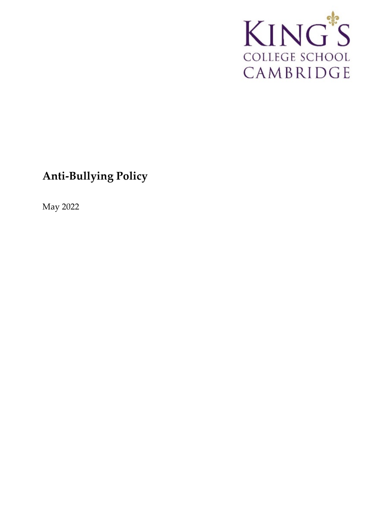

# **Anti-Bullying Policy**

May 2022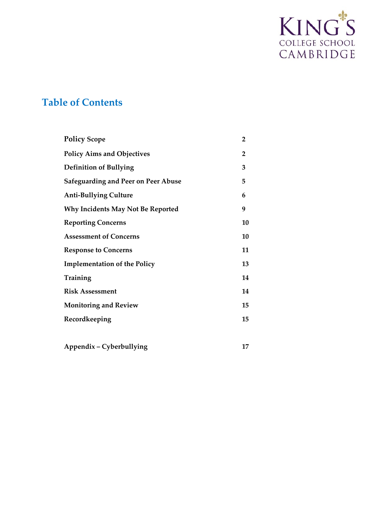

# **Table of Contents**

| <b>Policy Scope</b>                        | $\overline{2}$ |
|--------------------------------------------|----------------|
| <b>Policy Aims and Objectives</b>          | 2              |
| <b>Definition of Bullying</b>              | 3              |
| <b>Safeguarding and Peer on Peer Abuse</b> | 5              |
| <b>Anti-Bullying Culture</b>               | 6              |
| <b>Why Incidents May Not Be Reported</b>   | 9              |
| <b>Reporting Concerns</b>                  | 10             |
| <b>Assessment of Concerns</b>              | 10             |
| <b>Response to Concerns</b>                | 11             |
| <b>Implementation of the Policy</b>        | 13             |
| Training                                   | 14             |
| <b>Risk Assessment</b>                     | 14             |
| <b>Monitoring and Review</b>               | 15             |
| Recordkeeping                              | 15             |
|                                            |                |
| Appendix - Cyberbullying                   | 17             |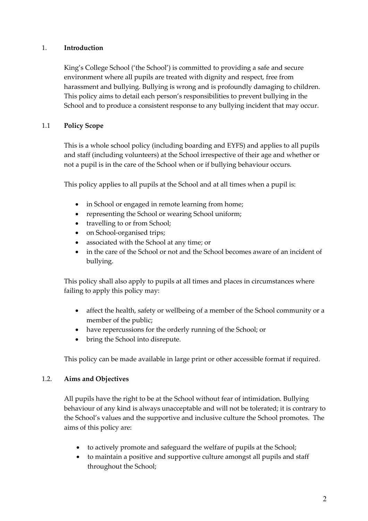# 1. **Introduction**

King's College School ('the School') is committed to providing a safe and secure environment where all pupils are treated with dignity and respect, free from harassment and bullying. Bullying is wrong and is profoundly damaging to children. This policy aims to detail each person's responsibilities to prevent bullying in the School and to produce a consistent response to any bullying incident that may occur.

# 1.1 **Policy Scope**

This is a whole school policy (including boarding and EYFS) and applies to all pupils and staff (including volunteers) at the School irrespective of their age and whether or not a pupil is in the care of the School when or if bullying behaviour occurs.

This policy applies to all pupils at the School and at all times when a pupil is:

- in School or engaged in remote learning from home;
- representing the School or wearing School uniform;
- travelling to or from School;
- on School-organised trips;
- associated with the School at any time; or
- in the care of the School or not and the School becomes aware of an incident of bullying.

This policy shall also apply to pupils at all times and places in circumstances where failing to apply this policy may:

- affect the health, safety or wellbeing of a member of the School community or a member of the public;
- have repercussions for the orderly running of the School; or
- bring the School into disrepute.

This policy can be made available in large print or other accessible format if required.

#### 1.2. **Aims and Objectives**

All pupils have the right to be at the School without fear of intimidation. Bullying behaviour of any kind is always unacceptable and will not be tolerated; it is contrary to the School's values and the supportive and inclusive culture the School promotes. The aims of this policy are:

- to actively promote and safeguard the welfare of pupils at the School;
- to maintain a positive and supportive culture amongst all pupils and staff throughout the School;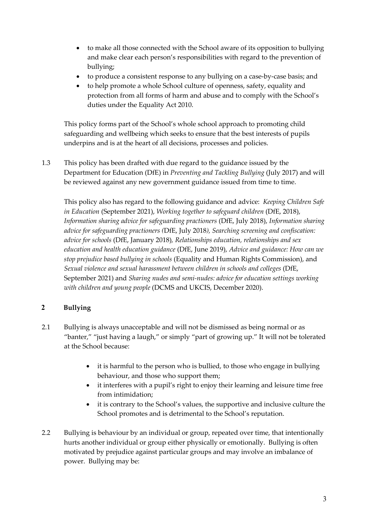- to make all those connected with the School aware of its opposition to bullying and make clear each person's responsibilities with regard to the prevention of bullying;
- to produce a consistent response to any bullying on a case-by-case basis; and
- to help promote a whole School culture of openness, safety, equality and protection from all forms of harm and abuse and to comply with the School's duties under the Equality Act 2010.

This policy forms part of the School's whole school approach to promoting child safeguarding and wellbeing which seeks to ensure that the best interests of pupils underpins and is at the heart of all decisions, processes and policies.

1.3 This policy has been drafted with due regard to the guidance issued by the Department for Education (DfE) in *Preventing and Tackling Bullying* (July 2017) and will be reviewed against any new government guidance issued from time to time.

This policy also has regard to the following guidance and advice: *Keeping Children Safe in Education* (September 2021), *Working together to safeguard children* (DfE, 2018), *Information sharing advice for safeguarding practioners* (DfE, July 2018), *Information sharing advice for safeguarding practioners (*DfE, July 2018*), Searching screening and confiscation: advice for schools* (DfE, January 2018)*, Relationships education, relationships and sex education and health education guidance* (DfE, June 2019), *Advice and guidance: How can we stop prejudice based bullying in schools* (Equality and Human Rights Commission), and *Sexual violence and sexual harassment between children in schools and colleges* (DfE, September 2021) and *Sharing nudes and semi-nudes: advice for education settings working with children and young people* (DCMS and UKCIS, December 2020).

# **2 Bullying**

- 2.1 Bullying is always unacceptable and will not be dismissed as being normal or as "banter," "just having a laugh," or simply "part of growing up." It will not be tolerated at the School because:
	- it is harmful to the person who is bullied, to those who engage in bullying behaviour, and those who support them;
	- it interferes with a pupil's right to enjoy their learning and leisure time free from intimidation;
	- it is contrary to the School's values, the supportive and inclusive culture the School promotes and is detrimental to the School's reputation.
- 2.2 Bullying is behaviour by an individual or group, repeated over time, that intentionally hurts another individual or group either physically or emotionally. Bullying is often motivated by prejudice against particular groups and may involve an imbalance of power. Bullying may be: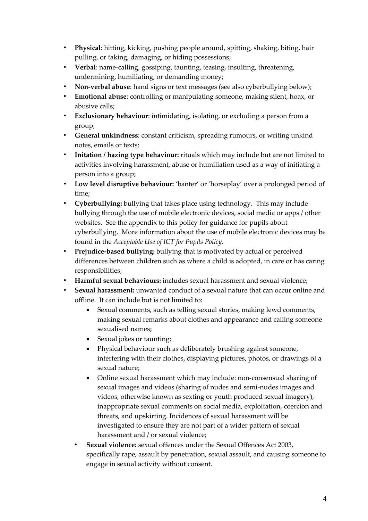- **Physical**: hitting, kicking, pushing people around, spitting, shaking, biting, hair pulling, or taking, damaging, or hiding possessions;
- **Verbal**: name-calling, gossiping, taunting, teasing, insulting, threatening, undermining, humiliating, or demanding money;
- **Non-verbal abuse**: hand signs or text messages (see also cyberbullying below);
- **Emotional abuse**: controlling or manipulating someone, making silent, hoax, or abusive calls;
- **Exclusionary behaviour**: intimidating, isolating, or excluding a person from a group;
- **General unkindness**: constant criticism, spreading rumours, or writing unkind notes, emails or texts;
- **Initation / hazing type behaviour:** rituals which may include but are not limited to activities involving harassment, abuse or humiliation used as a way of initiating a person into a group;
- **Low level disruptive behaviour:** 'banter' or 'horseplay' over a prolonged period of time;
- **Cyberbullying:** bullying that takes place using technology. This may include bullying through the use of mobile electronic devices, social media or apps / other websites. See the appendix to this policy for guidance for pupils about cyberbullying. More information about the use of mobile electronic devices may be found in the *Acceptable Use of ICT for Pupils Policy.*
- **Prejudice-based bullying:** bullying that is motivated by actual or perceived differences between children such as where a child is adopted, in care or has caring responsibilities;
- **Harmful sexual behaviours:** includes sexual harassment and sexual violence;
- **Sexual harassment:** unwanted conduct of a sexual nature that can occur online and offline. It can include but is not limited to:
	- Sexual comments, such as telling sexual stories, making lewd comments, making sexual remarks about clothes and appearance and calling someone sexualised names;
	- Sexual jokes or taunting;
	- Physical behaviour such as deliberately brushing against someone, interfering with their clothes, displaying pictures, photos, or drawings of a sexual nature;
	- Online sexual harassment which may include: non-consensual sharing of sexual images and videos (sharing of nudes and semi-nudes images and videos, otherwise known as sexting or youth produced sexual imagery), inappropriate sexual comments on social media, exploitation, coercion and threats, and upskirting. Incidences of sexual harassment will be investigated to ensure they are not part of a wider pattern of sexual harassment and / or sexual violence;
	- **Sexual violence**: sexual offences under the Sexual Offences Act 2003, specifically rape, assault by penetration, sexual assault, and causing someone to engage in sexual activity without consent.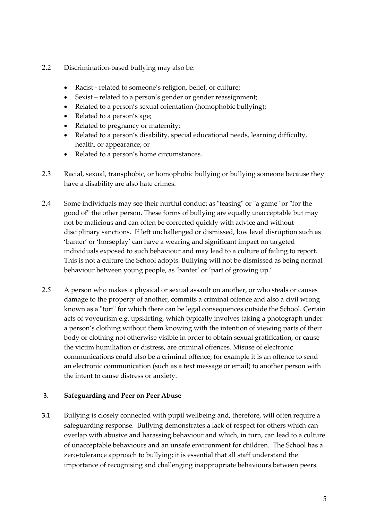- 2.2 Discrimination-based bullying may also be:
	- Racist related to someone's religion, belief, or culture;
	- Sexist related to a person's gender or gender reassignment;
	- Related to a person's sexual orientation (homophobic bullying);
	- Related to a person's age;
	- Related to pregnancy or maternity;
	- Related to a person's disability, special educational needs, learning difficulty, health, or appearance; or
	- Related to a person's home circumstances.
- 2.3 Racial, sexual, transphobic, or homophobic bullying or bullying someone because they have a disability are also hate crimes.
- 2.4 Some individuals may see their hurtful conduct as "teasing" or "a game" or "for the good of" the other person. These forms of bullying are equally unacceptable but may not be malicious and can often be corrected quickly with advice and without disciplinary sanctions. If left unchallenged or dismissed, low level disruption such as 'banter' or 'horseplay' can have a wearing and significant impact on targeted individuals exposed to such behaviour and may lead to a culture of failing to report. This is not a culture the School adopts. Bullying will not be dismissed as being normal behaviour between young people, as 'banter' or 'part of growing up.'
- 2.5 A person who makes a physical or sexual assault on another, or who steals or causes damage to the property of another, commits a criminal offence and also a civil wrong known as a "tort" for which there can be legal consequences outside the School. Certain acts of voyeurism e.g. upskirting, which typically involves taking a photograph under a person's clothing without them knowing with the intention of viewing parts of their body or clothing not otherwise visible in order to obtain sexual gratification, or cause the victim humiliation or distress, are criminal offences. Misuse of electronic communications could also be a criminal offence; for example it is an offence to send an electronic communication (such as a text message or email) to another person with the intent to cause distress or anxiety.

#### **3. Safeguarding and Peer on Peer Abuse**

**3.1** Bullying is closely connected with pupil wellbeing and, therefore, will often require a safeguarding response. Bullying demonstrates a lack of respect for others which can overlap with abusive and harassing behaviour and which, in turn, can lead to a culture of unacceptable behaviours and an unsafe environment for children. The School has a zero-tolerance approach to bullying; it is essential that all staff understand the importance of recognising and challenging inappropriate behaviours between peers.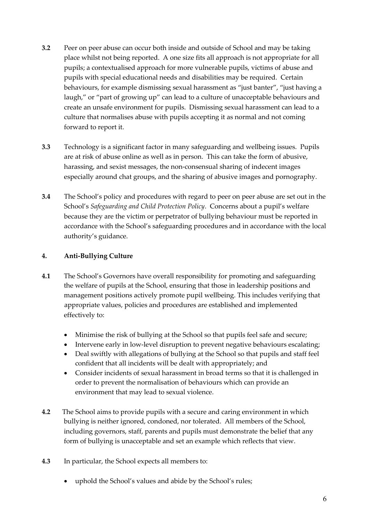- **3.2** Peer on peer abuse can occur both inside and outside of School and may be taking place whilst not being reported. A one size fits all approach is not appropriate for all pupils; a contextualised approach for more vulnerable pupils, victims of abuse and pupils with special educational needs and disabilities may be required. Certain behaviours, for example dismissing sexual harassment as "just banter", "just having a laugh," or "part of growing up" can lead to a culture of unacceptable behaviours and create an unsafe environment for pupils. Dismissing sexual harassment can lead to a culture that normalises abuse with pupils accepting it as normal and not coming forward to report it.
- **3.3** Technology is a significant factor in many safeguarding and wellbeing issues. Pupils are at risk of abuse online as well as in person. This can take the form of abusive, harassing, and sexist messages, the non-consensual sharing of indecent images especially around chat groups, and the sharing of abusive images and pornography.
- **3.4** The School's policy and procedures with regard to peer on peer abuse are set out in the School's *Safeguarding and Child Protection Policy*. Concerns about a pupil's welfare because they are the victim or perpetrator of bullying behaviour must be reported in accordance with the School's safeguarding procedures and in accordance with the local authority's guidance.

# **4. Anti-Bullying Culture**

- **4.1** The School's Governors have overall responsibility for promoting and safeguarding the welfare of pupils at the School, ensuring that those in leadership positions and management positions actively promote pupil wellbeing. This includes verifying that appropriate values, policies and procedures are established and implemented effectively to:
	- Minimise the risk of bullying at the School so that pupils feel safe and secure;
	- Intervene early in low-level disruption to prevent negative behaviours escalating;
	- Deal swiftly with allegations of bullying at the School so that pupils and staff feel confident that all incidents will be dealt with appropriately; and
	- Consider incidents of sexual harassment in broad terms so that it is challenged in order to prevent the normalisation of behaviours which can provide an environment that may lead to sexual violence.
- **4.2** The School aims to provide pupils with a secure and caring environment in which bullying is neither ignored, condoned, nor tolerated. All members of the School, including governors, staff, parents and pupils must demonstrate the belief that any form of bullying is unacceptable and set an example which reflects that view.
- **4.3** In particular, the School expects all members to:
	- uphold the School's values and abide by the School's rules;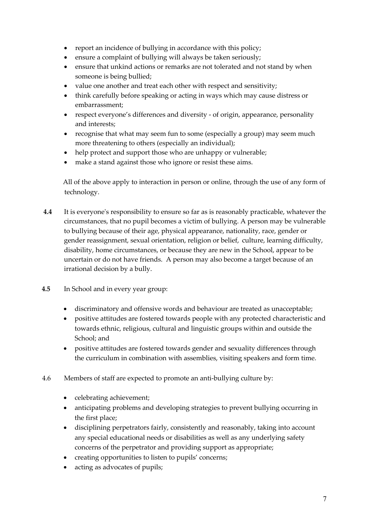- report an incidence of bullying in accordance with this policy;
- ensure a complaint of bullying will always be taken seriously;
- ensure that unkind actions or remarks are not tolerated and not stand by when someone is being bullied;
- value one another and treat each other with respect and sensitivity;
- think carefully before speaking or acting in ways which may cause distress or embarrassment;
- respect everyone's differences and diversity of origin, appearance, personality and interests;
- recognise that what may seem fun to some (especially a group) may seem much more threatening to others (especially an individual);
- help protect and support those who are unhappy or vulnerable;
- make a stand against those who ignore or resist these aims.

All of the above apply to interaction in person or online, through the use of any form of technology.

- **4.4** It is everyone's responsibility to ensure so far as is reasonably practicable, whatever the circumstances, that no pupil becomes a victim of bullying. A person may be vulnerable to bullying because of their age, physical appearance, nationality, race, gender or gender reassignment, sexual orientation, religion or belief, culture, learning difficulty, disability, home circumstances, or because they are new in the School, appear to be uncertain or do not have friends. A person may also become a target because of an irrational decision by a bully.
- **4.5** In School and in every year group:
	- discriminatory and offensive words and behaviour are treated as unacceptable;
	- positive attitudes are fostered towards people with any protected characteristic and towards ethnic, religious, cultural and linguistic groups within and outside the School; and
	- positive attitudes are fostered towards gender and sexuality differences through the curriculum in combination with assemblies, visiting speakers and form time.
- 4.6 Members of staff are expected to promote an anti-bullying culture by:
	- celebrating achievement;
	- anticipating problems and developing strategies to prevent bullying occurring in the first place;
	- disciplining perpetrators fairly, consistently and reasonably, taking into account any special educational needs or disabilities as well as any underlying safety concerns of the perpetrator and providing support as appropriate;
	- creating opportunities to listen to pupils' concerns;
	- acting as advocates of pupils;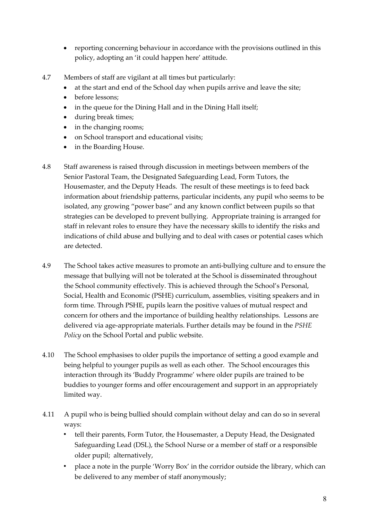- reporting concerning behaviour in accordance with the provisions outlined in this policy, adopting an 'it could happen here' attitude.
- 4.7 Members of staff are vigilant at all times but particularly:
	- at the start and end of the School day when pupils arrive and leave the site;
	- before lessons:
	- in the queue for the Dining Hall and in the Dining Hall itself;
	- during break times;
	- in the changing rooms;
	- on School transport and educational visits;
	- in the Boarding House.
- 4.8 Staff awareness is raised through discussion in meetings between members of the Senior Pastoral Team, the Designated Safeguarding Lead, Form Tutors, the Housemaster, and the Deputy Heads. The result of these meetings is to feed back information about friendship patterns, particular incidents, any pupil who seems to be isolated, any growing "power base" and any known conflict between pupils so that strategies can be developed to prevent bullying. Appropriate training is arranged for staff in relevant roles to ensure they have the necessary skills to identify the risks and indications of child abuse and bullying and to deal with cases or potential cases which are detected.
- 4.9 The School takes active measures to promote an anti-bullying culture and to ensure the message that bullying will not be tolerated at the School is disseminated throughout the School community effectively. This is achieved through the School's Personal, Social, Health and Economic (PSHE) curriculum, assemblies, visiting speakers and in form time. Through PSHE, pupils learn the positive values of mutual respect and concern for others and the importance of building healthy relationships. Lessons are delivered via age-appropriate materials. Further details may be found in the *PSHE Policy* on the School Portal and public website.
- 4.10 The School emphasises to older pupils the importance of setting a good example and being helpful to younger pupils as well as each other. The School encourages this interaction through its 'Buddy Programme' where older pupils are trained to be buddies to younger forms and offer encouragement and support in an appropriately limited way.
- 4.11 A pupil who is being bullied should complain without delay and can do so in several ways:
	- tell their parents, Form Tutor, the Housemaster, a Deputy Head, the Designated Safeguarding Lead (DSL), the School Nurse or a member of staff or a responsible older pupil; alternatively,
	- place a note in the purple 'Worry Box' in the corridor outside the library, which can be delivered to any member of staff anonymously;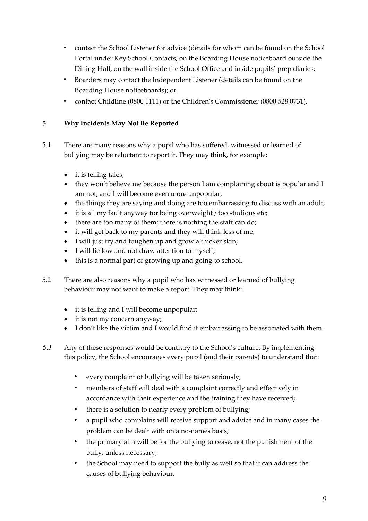- contact the School Listener for advice (details for whom can be found on the School Portal under Key School Contacts, on the Boarding House noticeboard outside the Dining Hall, on the wall inside the School Office and inside pupils' prep diaries;
- Boarders may contact the Independent Listener (details can be found on the Boarding House noticeboards); or
- contact Childline (0800 1111) or the Children's Commissioner (0800 528 0731).

# **5 Why Incidents May Not Be Reported**

- 5.1 There are many reasons why a pupil who has suffered, witnessed or learned of bullying may be reluctant to report it. They may think, for example:
	- it is telling tales;
	- they won't believe me because the person I am complaining about is popular and I am not, and I will become even more unpopular;
	- the things they are saying and doing are too embarrassing to discuss with an adult;
	- it is all my fault anyway for being overweight / too studious etc;
	- there are too many of them; there is nothing the staff can do;
	- it will get back to my parents and they will think less of me;
	- I will just try and toughen up and grow a thicker skin;
	- I will lie low and not draw attention to myself;
	- this is a normal part of growing up and going to school.
- 5.2 There are also reasons why a pupil who has witnessed or learned of bullying behaviour may not want to make a report. They may think:
	- it is telling and I will become unpopular;
	- it is not my concern anyway;
	- I don't like the victim and I would find it embarrassing to be associated with them.
- 5.3 Any of these responses would be contrary to the School's culture. By implementing this policy, the School encourages every pupil (and their parents) to understand that:
	- every complaint of bullying will be taken seriously;
	- members of staff will deal with a complaint correctly and effectively in accordance with their experience and the training they have received;
	- there is a solution to nearly every problem of bullying;
	- a pupil who complains will receive support and advice and in many cases the problem can be dealt with on a no-names basis;
	- the primary aim will be for the bullying to cease, not the punishment of the bully, unless necessary;
	- the School may need to support the bully as well so that it can address the causes of bullying behaviour.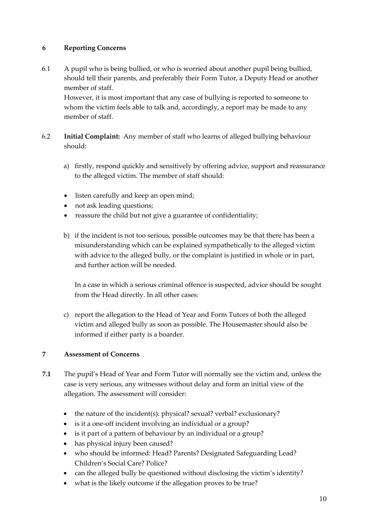# **6 Reporting Concerns**

6.1 A pupil who is being bullied, or who is worried about another pupil being bullied, should tell their parents, and preferably their Form Tutor, a Deputy Head or another member of staff.

However, it is most important that any case of bullying is reported to someone to whom the victim feels able to talk and, accordingly, a report may be made to any member of staff.

- 6.2 **Initial Complaint:** Any member of staff who learns of alleged bullying behaviour should:
	- a) firstly, respond quickly and sensitively by offering advice, support and reassurance to the alleged victim. The member of staff should:
	- listen carefully and keep an open mind;
	- not ask leading questions;
	- reassure the child but not give a guarantee of confidentiality;
	- b) if the incident is not too serious, possible outcomes may be that there has been a misunderstanding which can be explained sympathetically to the alleged victim with advice to the alleged bully, or the complaint is justified in whole or in part, and further action will be needed.

In a case in which a serious criminal offence is suspected, advice should be sought from the Head directly. In all other cases:

c) report the allegation to the Head of Year and Form Tutors of both the alleged victim and alleged bully as soon as possible. The Housemaster should also be informed if either party is a boarder.

#### **7 Assessment of Concerns**

- **7.1** The pupil's Head of Year and Form Tutor will normally see the victim and, unless the case is very serious, any witnesses without delay and form an initial view of the allegation. The assessment will consider:
	- the nature of the incident(s): physical? sexual? verbal? exclusionary?
	- is it a one-off incident involving an individual or a group?
	- is it part of a pattern of behaviour by an individual or a group?
	- has physical injury been caused?
	- who should be informed: Head? Parents? Designated Safeguarding Lead? Children's Social Care? Police?
	- can the alleged bully be questioned without disclosing the victim's identity?
	- what is the likely outcome if the allegation proves to be true?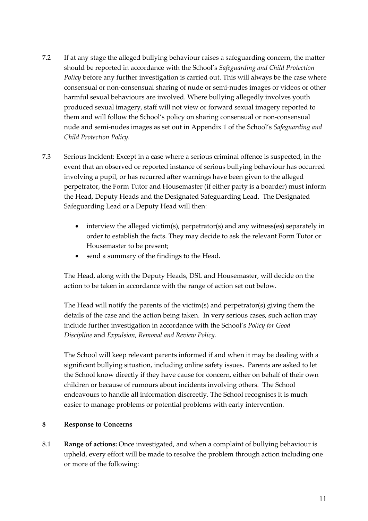- 7.2 If at any stage the alleged bullying behaviour raises a safeguarding concern, the matter should be reported in accordance with the School's *Safeguarding and Child Protection Policy* before any further investigation is carried out. This will always be the case where consensual or non-consensual sharing of nude or semi-nudes images or videos or other harmful sexual behaviours are involved. Where bullying allegedly involves youth produced sexual imagery, staff will not view or forward sexual imagery reported to them and will follow the School's policy on sharing consensual or non-consensual nude and semi-nudes images as set out in Appendix 1 of the School's *Safeguarding and Child Protection Policy.*
- 7.3 Serious Incident: Except in a case where a serious criminal offence is suspected, in the event that an observed or reported instance of serious bullying behaviour has occurred involving a pupil, or has recurred after warnings have been given to the alleged perpetrator, the Form Tutor and Housemaster (if either party is a boarder) must inform the Head, Deputy Heads and the Designated Safeguarding Lead. The Designated Safeguarding Lead or a Deputy Head will then:
	- interview the alleged victim(s), perpetrator(s) and any witness(es) separately in order to establish the facts. They may decide to ask the relevant Form Tutor or Housemaster to be present;
	- send a summary of the findings to the Head.

The Head, along with the Deputy Heads, DSL and Housemaster, will decide on the action to be taken in accordance with the range of action set out below.

The Head will notify the parents of the victim(s) and perpetrator(s) giving them the details of the case and the action being taken. In very serious cases, such action may include further investigation in accordance with the School's *Policy for Good Discipline* and *Expulsion, Removal and Review Policy.*

The School will keep relevant parents informed if and when it may be dealing with a significant bullying situation, including online safety issues. Parents are asked to let the School know directly if they have cause for concern, either on behalf of their own children or because of rumours about incidents involving others. The School endeavours to handle all information discreetly. The School recognises it is much easier to manage problems or potential problems with early intervention.

#### **8 Response to Concerns**

8.1 **Range of actions:** Once investigated, and when a complaint of bullying behaviour is upheld, every effort will be made to resolve the problem through action including one or more of the following: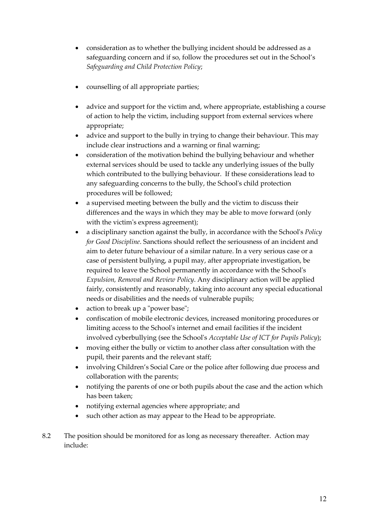- consideration as to whether the bullying incident should be addressed as a safeguarding concern and if so, follow the procedures set out in the School's *Safeguarding and Child Protection Policy*;
- counselling of all appropriate parties;
- advice and support for the victim and, where appropriate, establishing a course of action to help the victim, including support from external services where appropriate;
- advice and support to the bully in trying to change their behaviour. This may include clear instructions and a warning or final warning;
- consideration of the motivation behind the bullying behaviour and whether external services should be used to tackle any underlying issues of the bully which contributed to the bullying behaviour. If these considerations lead to any safeguarding concerns to the bully, the School's child protection procedures will be followed;
- a supervised meeting between the bully and the victim to discuss their differences and the ways in which they may be able to move forward (only with the victim's express agreement);
- a disciplinary sanction against the bully, in accordance with the School's *Policy for Good Discipline*. Sanctions should reflect the seriousness of an incident and aim to deter future behaviour of a similar nature. In a very serious case or a case of persistent bullying, a pupil may, after appropriate investigation, be required to leave the School permanently in accordance with the School's *Expulsion, Removal and Review Policy*. Any disciplinary action will be applied fairly, consistently and reasonably, taking into account any special educational needs or disabilities and the needs of vulnerable pupils;
- action to break up a "power base";
- confiscation of mobile electronic devices, increased monitoring procedures or limiting access to the School's internet and email facilities if the incident involved cyberbullying (see the School's *Acceptable Use of ICT for Pupils Policy*);
- moving either the bully or victim to another class after consultation with the pupil, their parents and the relevant staff;
- involving Children's Social Care or the police after following due process and collaboration with the parents;
- notifying the parents of one or both pupils about the case and the action which has been taken;
- notifying external agencies where appropriate; and
- such other action as may appear to the Head to be appropriate.
- 8.2 The position should be monitored for as long as necessary thereafter. Action may include: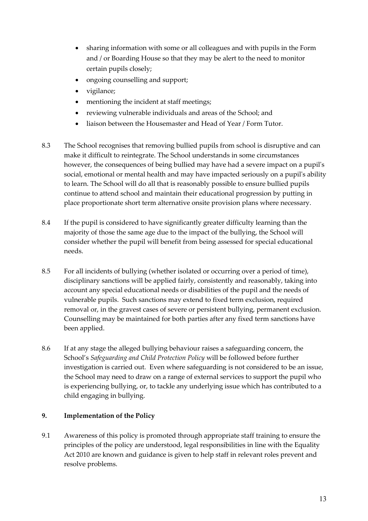- sharing information with some or all colleagues and with pupils in the Form and / or Boarding House so that they may be alert to the need to monitor certain pupils closely;
- ongoing counselling and support;
- vigilance;
- mentioning the incident at staff meetings;
- reviewing vulnerable individuals and areas of the School; and
- liaison between the Housemaster and Head of Year / Form Tutor.
- 8.3 The School recognises that removing bullied pupils from school is disruptive and can make it difficult to reintegrate. The School understands in some circumstances however, the consequences of being bullied may have had a severe impact on a pupil's social, emotional or mental health and may have impacted seriously on a pupil's ability to learn. The School will do all that is reasonably possible to ensure bullied pupils continue to attend school and maintain their educational progression by putting in place proportionate short term alternative onsite provision plans where necessary.
- 8.4 If the pupil is considered to have significantly greater difficulty learning than the majority of those the same age due to the impact of the bullying, the School will consider whether the pupil will benefit from being assessed for special educational needs.
- 8.5 For all incidents of bullying (whether isolated or occurring over a period of time), disciplinary sanctions will be applied fairly, consistently and reasonably, taking into account any special educational needs or disabilities of the pupil and the needs of vulnerable pupils. Such sanctions may extend to fixed term exclusion, required removal or, in the gravest cases of severe or persistent bullying, permanent exclusion. Counselling may be maintained for both parties after any fixed term sanctions have been applied.
- 8.6 If at any stage the alleged bullying behaviour raises a safeguarding concern, the School's *Safeguarding and Child Protection Policy* will be followed before further investigation is carried out. Even where safeguarding is not considered to be an issue, the School may need to draw on a range of external services to support the pupil who is experiencing bullying, or, to tackle any underlying issue which has contributed to a child engaging in bullying.

# **9. Implementation of the Policy**

9.1 Awareness of this policy is promoted through appropriate staff training to ensure the principles of the policy are understood, legal responsibilities in line with the Equality Act 2010 are known and guidance is given to help staff in relevant roles prevent and resolve problems.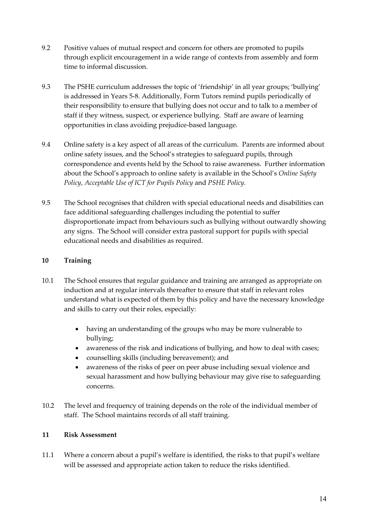- 9.2 Positive values of mutual respect and concern for others are promoted to pupils through explicit encouragement in a wide range of contexts from assembly and form time to informal discussion.
- 9.3 The PSHE curriculum addresses the topic of 'friendship' in all year groups; 'bullying' is addressed in Years 5-8. Additionally, Form Tutors remind pupils periodically of their responsibility to ensure that bullying does not occur and to talk to a member of staff if they witness, suspect, or experience bullying. Staff are aware of learning opportunities in class avoiding prejudice-based language.
- 9.4 Online safety is a key aspect of all areas of the curriculum. Parents are informed about online safety issues, and the School's strategies to safeguard pupils, through correspondence and events held by the School to raise awareness. Further information about the School's approach to online safety is available in the School's *Online Safety Policy*, *Acceptable Use of ICT for Pupils Policy* and *PSHE Policy.*
- 9.5 The School recognises that children with special educational needs and disabilities can face additional safeguarding challenges including the potential to suffer disproportionate impact from behaviours such as bullying without outwardly showing any signs. The School will consider extra pastoral support for pupils with special educational needs and disabilities as required.

# **10 Training**

- 10.1 The School ensures that regular guidance and training are arranged as appropriate on induction and at regular intervals thereafter to ensure that staff in relevant roles understand what is expected of them by this policy and have the necessary knowledge and skills to carry out their roles, especially:
	- having an understanding of the groups who may be more vulnerable to bullying;
	- awareness of the risk and indications of bullying, and how to deal with cases;
	- counselling skills (including bereavement); and
	- awareness of the risks of peer on peer abuse including sexual violence and sexual harassment and how bullying behaviour may give rise to safeguarding concerns.
- 10.2 The level and frequency of training depends on the role of the individual member of staff. The School maintains records of all staff training.

#### **11 Risk Assessment**

11.1 Where a concern about a pupil's welfare is identified, the risks to that pupil's welfare will be assessed and appropriate action taken to reduce the risks identified.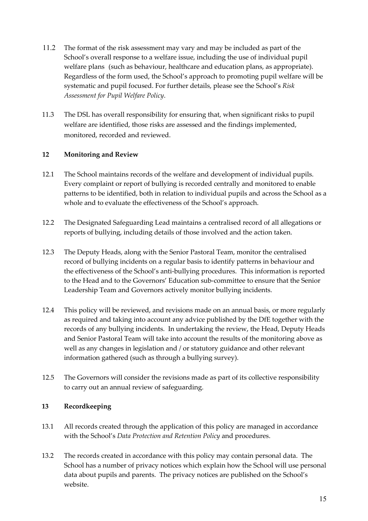- 11.2 The format of the risk assessment may vary and may be included as part of the School's overall response to a welfare issue, including the use of individual pupil welfare plans (such as behaviour, healthcare and education plans, as appropriate). Regardless of the form used, the School's approach to promoting pupil welfare will be systematic and pupil focused. For further details, please see the School's *Risk Assessment for Pupil Welfare Policy*.
- 11.3 The DSL has overall responsibility for ensuring that, when significant risks to pupil welfare are identified, those risks are assessed and the findings implemented, monitored, recorded and reviewed.

#### **12 Monitoring and Review**

- 12.1 The School maintains records of the welfare and development of individual pupils. Every complaint or report of bullying is recorded centrally and monitored to enable patterns to be identified, both in relation to individual pupils and across the School as a whole and to evaluate the effectiveness of the School's approach.
- 12.2 The Designated Safeguarding Lead maintains a centralised record of all allegations or reports of bullying, including details of those involved and the action taken.
- 12.3 The Deputy Heads, along with the Senior Pastoral Team, monitor the centralised record of bullying incidents on a regular basis to identify patterns in behaviour and the effectiveness of the School's anti-bullying procedures. This information is reported to the Head and to the Governors' Education sub-committee to ensure that the Senior Leadership Team and Governors actively monitor bullying incidents.
- 12.4 This policy will be reviewed, and revisions made on an annual basis, or more regularly as required and taking into account any advice published by the DfE together with the records of any bullying incidents. In undertaking the review, the Head, Deputy Heads and Senior Pastoral Team will take into account the results of the monitoring above as well as any changes in legislation and / or statutory guidance and other relevant information gathered (such as through a bullying survey).
- 12.5 The Governors will consider the revisions made as part of its collective responsibility to carry out an annual review of safeguarding.

#### **13 Recordkeeping**

- 13.1 All records created through the application of this policy are managed in accordance with the School's *Data Protection and Retention Policy* and procedures.
- 13.2 The records created in accordance with this policy may contain personal data. The School has a number of privacy notices which explain how the School will use personal data about pupils and parents. The privacy notices are published on the School's website.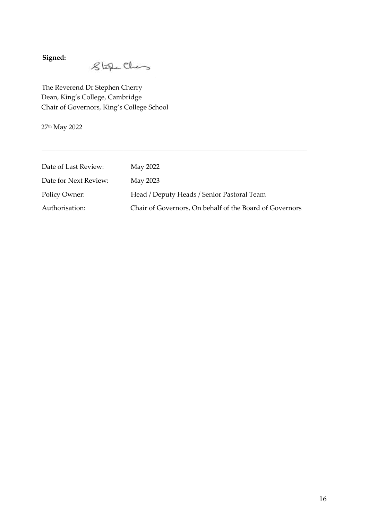**Signed:**

 $8$ the Ches

The Reverend Dr Stephen Cherry Dean, King's College, Cambridge Chair of Governors, King's College School

27th May 2022

| Date of Last Review:  | May 2022                                                |
|-----------------------|---------------------------------------------------------|
| Date for Next Review: | May 2023                                                |
| Policy Owner:         | Head / Deputy Heads / Senior Pastoral Team              |
| Authorisation:        | Chair of Governors, On behalf of the Board of Governors |

\_\_\_\_\_\_\_\_\_\_\_\_\_\_\_\_\_\_\_\_\_\_\_\_\_\_\_\_\_\_\_\_\_\_\_\_\_\_\_\_\_\_\_\_\_\_\_\_\_\_\_\_\_\_\_\_\_\_\_\_\_\_\_\_\_\_\_\_\_\_\_\_\_\_\_\_\_\_